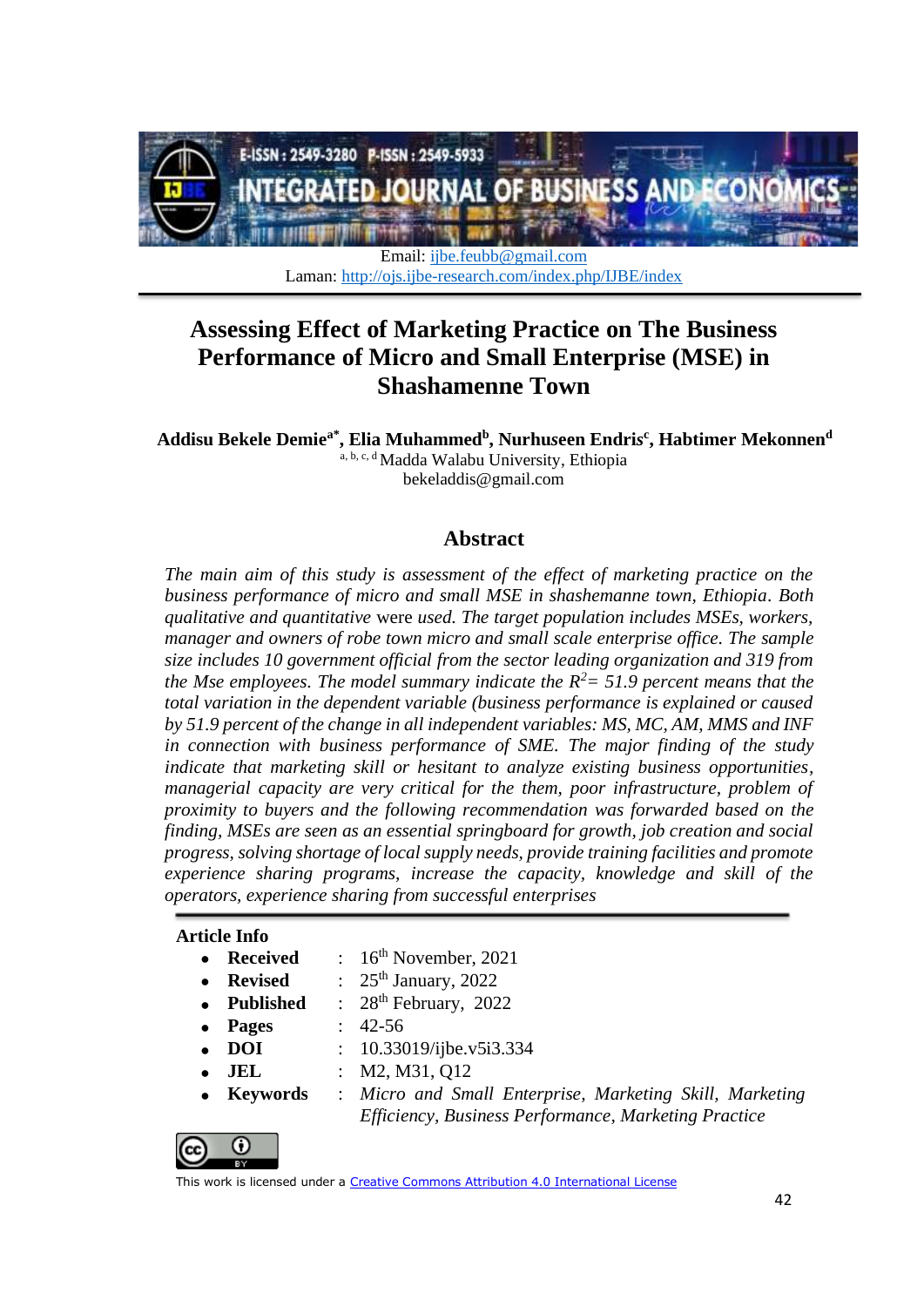

Email: [ijbe.feubb@gmail.com](mailto:ijbe.feubb@gmail.com) Laman:<http://ojs.ijbe-research.com/index.php/IJBE/index>

# **Assessing Effect of Marketing Practice on The Business Performance of Micro and Small Enterprise (MSE) in Shashamenne Town**

**Addisu Bekele Demiea\* , Elia Muhammed<sup>b</sup> , Nurhu***s***een Endri***s* **c , Habtimer Mekonnen<sup>d</sup>** a, b, c, d Madda Walabu University, Ethiopia [bekeladdis@gmail.com](mailto:bekeladdis@gmail.com)

## **Abstract**

*The main aim of this study is assessment of the effect of marketing practice on the business performance of micro and small MSE in shashemanne town, Ethiopia. Both qualitative and quantitative* were *used. The target population includes MSEs, workers, manager and owners of robe town micro and small scale enterprise office. The sample size includes 10 government official from the sector leading organization and 319 from the Mse employees. The model summary indicate the R<sup>2</sup>= 51.9 percent means that the total variation in the dependent variable (business performance is explained or caused by 51.9 percent of the change in all independent variables: MS, MC, AM, MMS and INF in connection with business performance of SME. The major finding of the study indicate that marketing skill or hesitant to analyze existing business opportunities, managerial capacity are very critical for the them, poor infrastructure, problem of proximity to buyers and the following recommendation was forwarded based on the finding, MSEs are seen as an essential springboard for growth, job creation and social progress, solving shortage of local supply needs, provide training facilities and promote experience sharing programs, increase the capacity, knowledge and skill of the operators, experience sharing from successful enterprises*

#### **Article Info**

- **Received** :  $16^{th}$  November, 2021
	- **Revised** : 25<sup>th</sup> January, 2022
	- **Published** :  $28<sup>th</sup>$  February, 2022
	- **Pages** : 42-56
- 

 $\odot$ 

- **DOI** : 10.33019/ijbe.v5i3.334
- **JEL** : M2, M31, Q12
- **Keywords** : *Micro and Small Enterprise, Marketing Skill, Marketing Efficiency, Business Performance, Marketing Practice*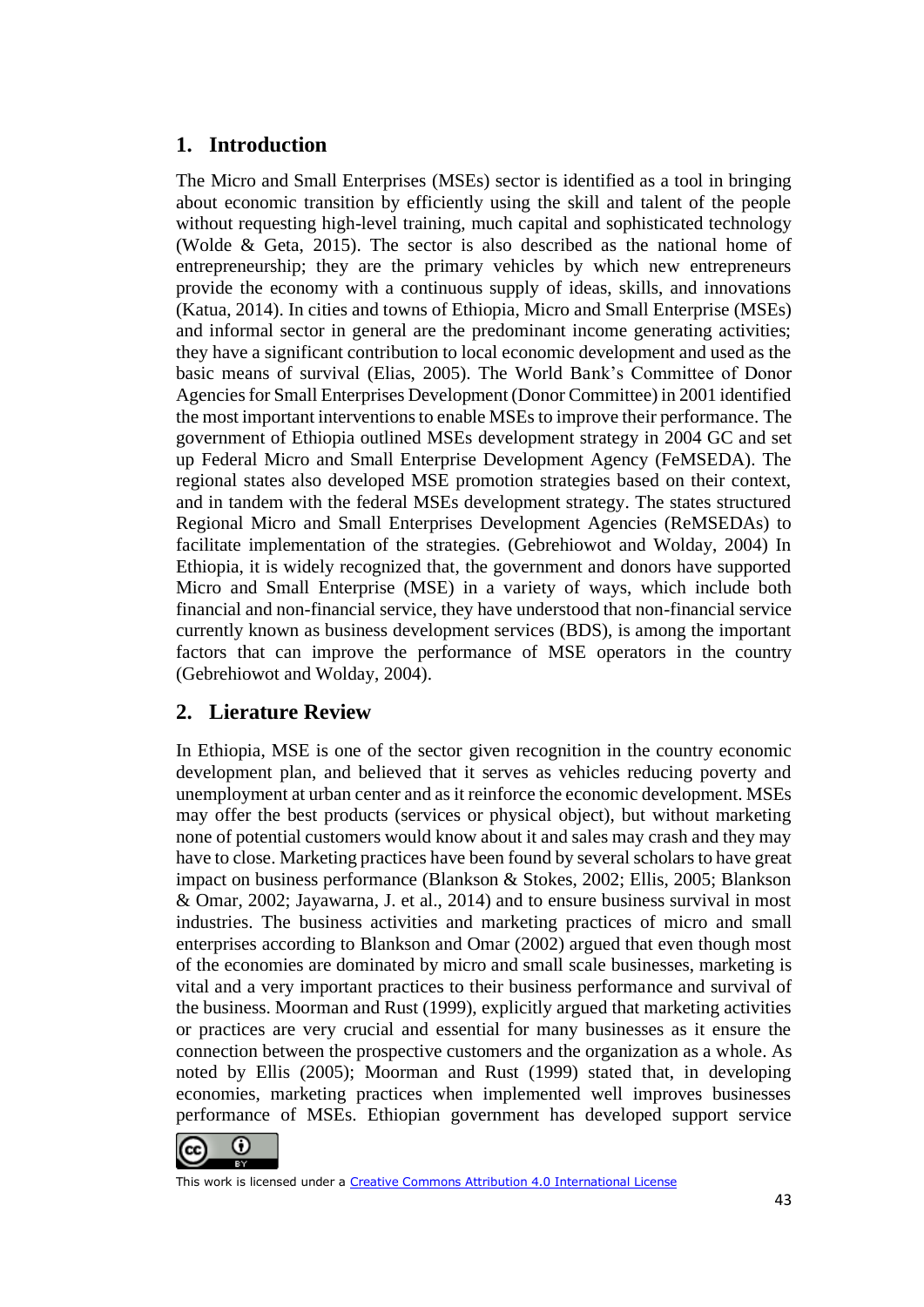# **1. Introduction**

The Micro and Small Enterprises (MSEs) sector is identified as a tool in bringing about economic transition by efficiently using the skill and talent of the people without requesting high-level training, much capital and sophisticated technology (Wolde & Geta, 2015). The sector is also described as the national home of entrepreneurship; they are the primary vehicles by which new entrepreneurs provide the economy with a continuous supply of ideas, skills, and innovations (Katua, 2014). In cities and towns of Ethiopia, Micro and Small Enterprise (MSEs) and informal sector in general are the predominant income generating activities; they have a significant contribution to local economic development and used as the basic means of survival (Elias, 2005). The World Bank's Committee of Donor Agencies for Small Enterprises Development (Donor Committee) in 2001 identified the most important interventions to enable MSEs to improve their performance. The government of Ethiopia outlined MSEs development strategy in 2004 GC and set up Federal Micro and Small Enterprise Development Agency (FeMSEDA). The regional states also developed MSE promotion strategies based on their context, and in tandem with the federal MSEs development strategy. The states structured Regional Micro and Small Enterprises Development Agencies (ReMSEDAs) to facilitate implementation of the strategies. (Gebrehiowot and Wolday, 2004) In Ethiopia, it is widely recognized that, the government and donors have supported Micro and Small Enterprise (MSE) in a variety of ways, which include both financial and non-financial service, they have understood that non-financial service currently known as business development services (BDS), is among the important factors that can improve the performance of MSE operators in the country (Gebrehiowot and Wolday, 2004).

# **2. Lierature Review**

In Ethiopia, MSE is one of the sector given recognition in the country economic development plan, and believed that it serves as vehicles reducing poverty and unemployment at urban center and as it reinforce the economic development. MSEs may offer the best products (services or physical object), but without marketing none of potential customers would know about it and sales may crash and they may have to close. Marketing practices have been found by several scholars to have great impact on business performance (Blankson & Stokes, 2002; Ellis, 2005; Blankson & Omar, 2002; Jayawarna, J. et al., 2014) and to ensure business survival in most industries. The business activities and marketing practices of micro and small enterprises according to Blankson and Omar (2002) argued that even though most of the economies are dominated by micro and small scale businesses, marketing is vital and a very important practices to their business performance and survival of the business. Moorman and Rust (1999), explicitly argued that marketing activities or practices are very crucial and essential for many businesses as it ensure the connection between the prospective customers and the organization as a whole. As noted by Ellis (2005); Moorman and Rust (1999) stated that, in developing economies, marketing practices when implemented well improves businesses performance of MSEs. Ethiopian government has developed support service

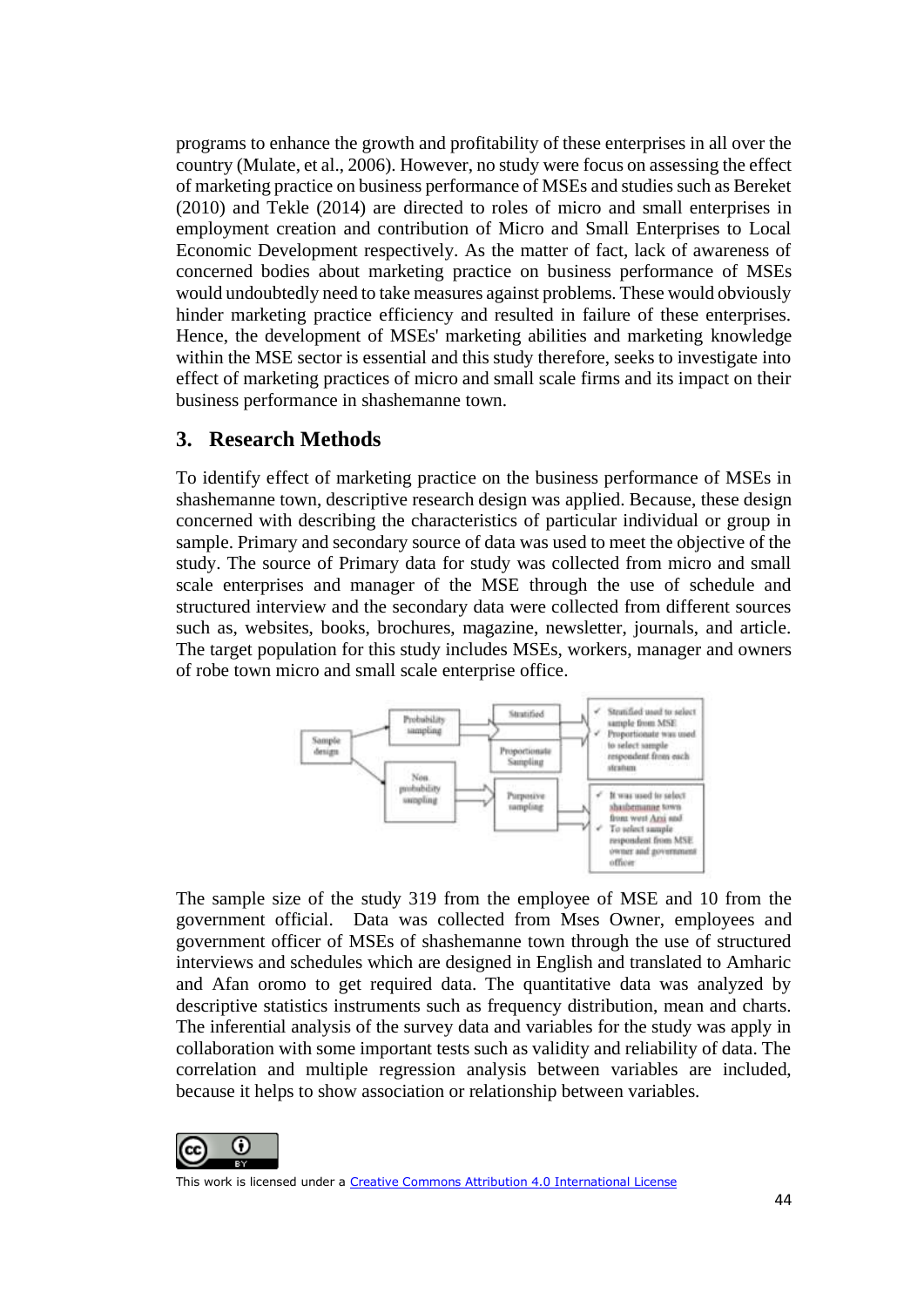programs to enhance the growth and profitability of these enterprises in all over the country (Mulate, et al., 2006). However, no study were focus on assessing the effect of marketing practice on business performance of MSEs and studies such as Bereket (2010) and Tekle (2014) are directed to roles of micro and small enterprises in employment creation and contribution of Micro and Small Enterprises to Local Economic Development respectively. As the matter of fact, lack of awareness of concerned bodies about marketing practice on business performance of MSEs would undoubtedly need to take measures against problems. These would obviously hinder marketing practice efficiency and resulted in failure of these enterprises. Hence, the development of MSEs' marketing abilities and marketing knowledge within the MSE sector is essential and this study therefore, seeks to investigate into effect of marketing practices of micro and small scale firms and its impact on their business performance in shashemanne town.

## **3. Research Methods**

To identify effect of marketing practice on the business performance of MSEs in shashemanne town, descriptive research design was applied. Because, these design concerned with describing the characteristics of particular individual or group in sample. Primary and secondary source of data was used to meet the objective of the study. The source of Primary data for study was collected from micro and small scale enterprises and manager of the MSE through the use of schedule and structured interview and the secondary data were collected from different sources such as, websites, books, brochures, magazine, newsletter, journals, and article. The target population for this study includes MSEs, workers, manager and owners of robe town micro and small scale enterprise office.



The sample size of the study 319 from the employee of MSE and 10 from the government official. Data was collected from Mses Owner, employees and government officer of MSEs of shashemanne town through the use of structured interviews and schedules which are designed in English and translated to Amharic and Afan oromo to get required data. The quantitative data was analyzed by descriptive statistics instruments such as frequency distribution, mean and charts. The inferential analysis of the survey data and variables for the study was apply in collaboration with some important tests such as validity and reliability of data. The correlation and multiple regression analysis between variables are included, because it helps to show association or relationship between variables.

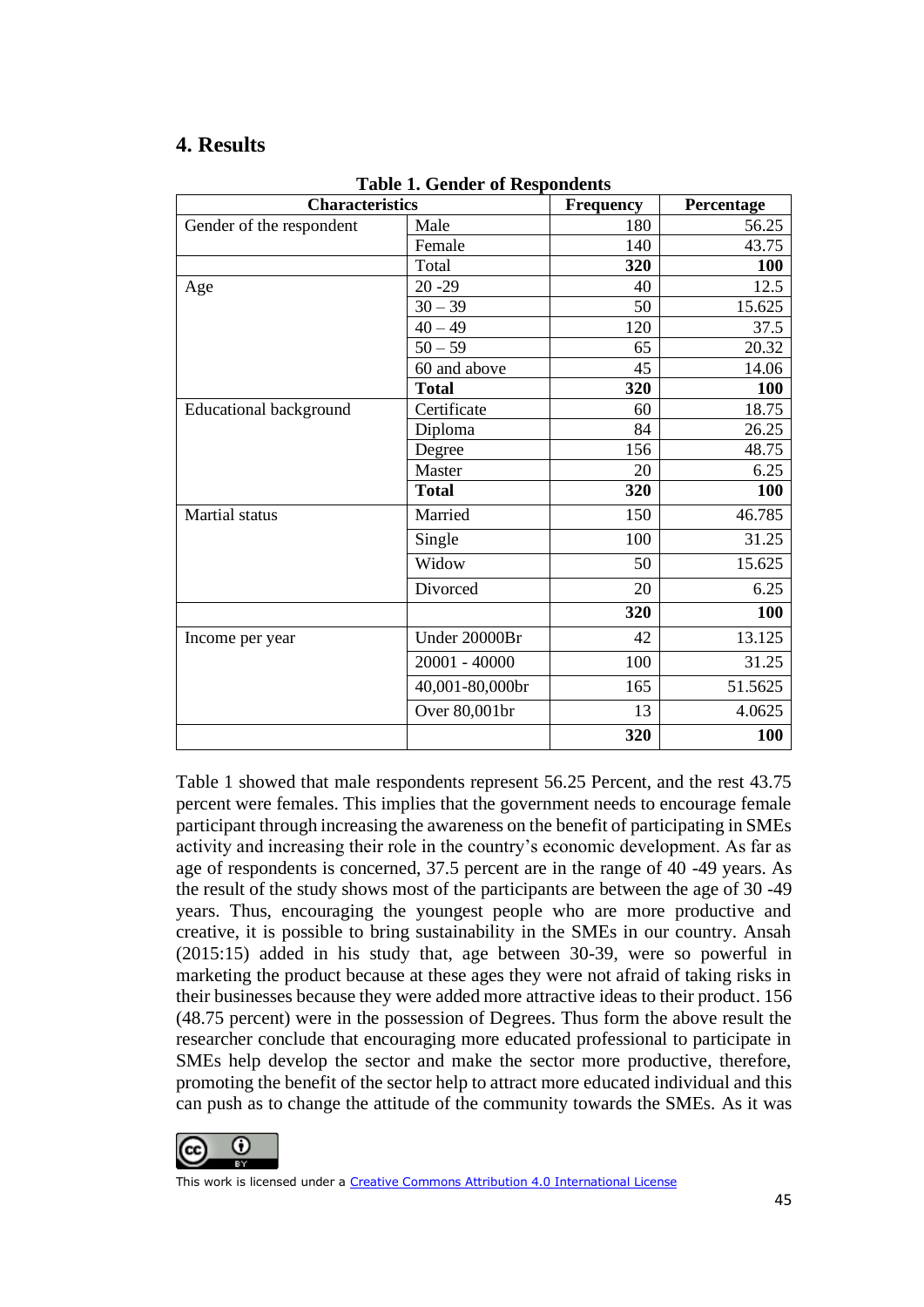# **4. Results**

| <b>Characteristics</b>        |                 | <b>Frequency</b> | Percentage |
|-------------------------------|-----------------|------------------|------------|
| Gender of the respondent      | Male            | 180              | 56.25      |
|                               | Female          | 140              | 43.75      |
|                               | Total           | 320              | <b>100</b> |
| Age                           | $20 - 29$       | 40               | 12.5       |
|                               | $30 - 39$       | 50               | 15.625     |
|                               | $40 - 49$       | 120              | 37.5       |
|                               | $50 - 59$       | 65               | 20.32      |
|                               | 60 and above    | 45               | 14.06      |
|                               | <b>Total</b>    | 320              | <b>100</b> |
| <b>Educational background</b> | Certificate     | 60               | 18.75      |
|                               | Diploma         | 84               | 26.25      |
|                               | Degree          | 156              | 48.75      |
|                               | Master          | 20               | 6.25       |
|                               | <b>Total</b>    | 320              | 100        |
| <b>Martial</b> status         | Married         | 150              | 46.785     |
|                               | Single          | 100              | 31.25      |
|                               | Widow           | 50               | 15.625     |
|                               | Divorced        | 20               | 6.25       |
|                               |                 | 320              | 100        |
| Income per year               | Under 20000Br   | 42               | 13.125     |
|                               | 20001 - 40000   | 100              | 31.25      |
|                               | 40,001-80,000br | 165              | 51.5625    |
|                               | Over 80,001br   | 13               | 4.0625     |
|                               |                 | 320              | 100        |

**Table 1. Gender of Respondents**

Table 1 showed that male respondents represent 56.25 Percent, and the rest 43.75 percent were females. This implies that the government needs to encourage female participant through increasing the awareness on the benefit of participating in SMEs activity and increasing their role in the country's economic development. As far as age of respondents is concerned, 37.5 percent are in the range of 40 -49 years. As the result of the study shows most of the participants are between the age of 30 -49 years. Thus, encouraging the youngest people who are more productive and creative, it is possible to bring sustainability in the SMEs in our country. Ansah (2015:15) added in his study that, age between 30-39, were so powerful in marketing the product because at these ages they were not afraid of taking risks in their businesses because they were added more attractive ideas to their product. 156 (48.75 percent) were in the possession of Degrees. Thus form the above result the researcher conclude that encouraging more educated professional to participate in SMEs help develop the sector and make the sector more productive, therefore, promoting the benefit of the sector help to attract more educated individual and this can push as to change the attitude of the community towards the SMEs. As it was

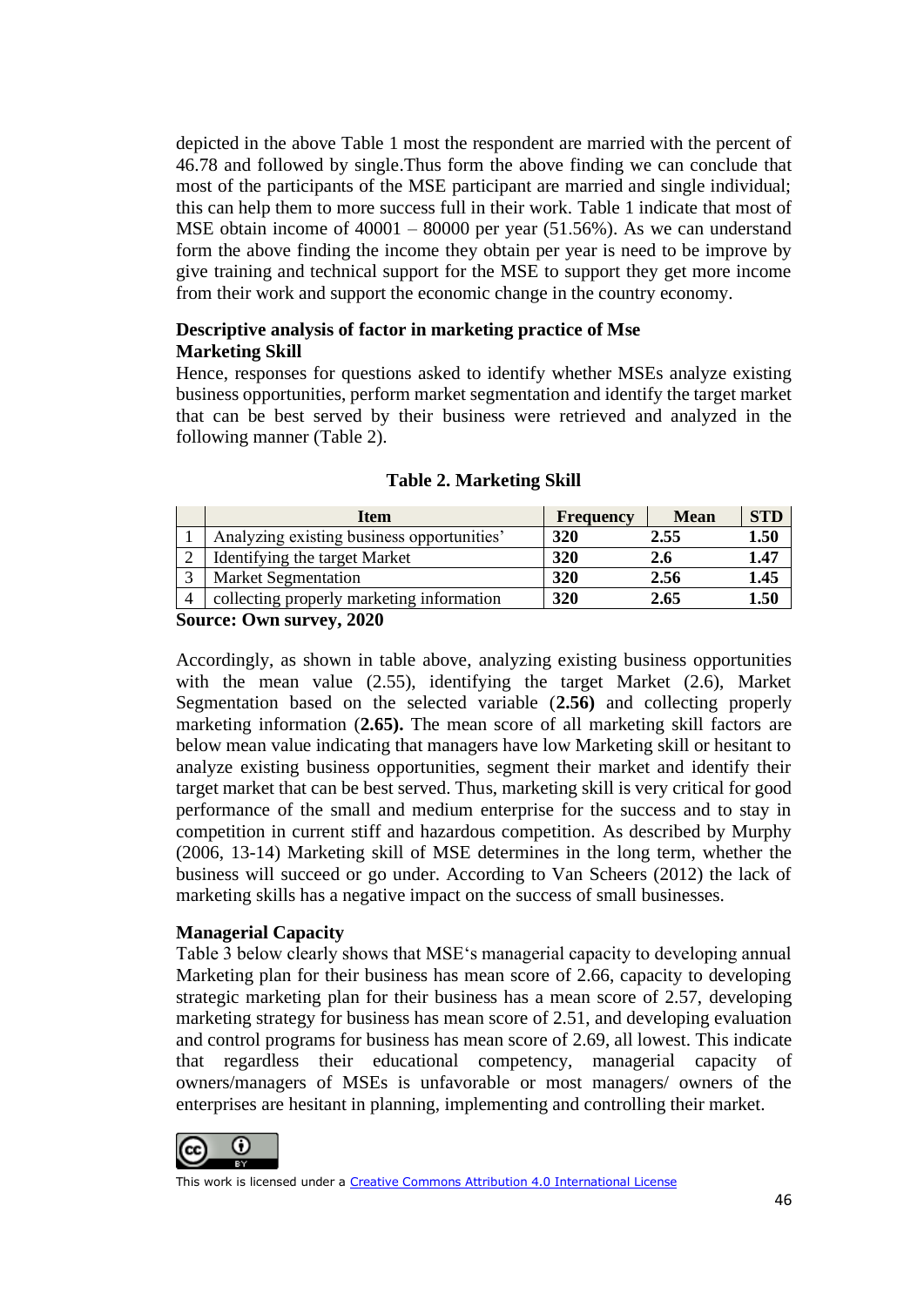depicted in the above Table 1 most the respondent are married with the percent of 46.78 and followed by single.Thus form the above finding we can conclude that most of the participants of the MSE participant are married and single individual; this can help them to more success full in their work. Table 1 indicate that most of MSE obtain income of 40001 – 80000 per year (51.56%). As we can understand form the above finding the income they obtain per year is need to be improve by give training and technical support for the MSE to support they get more income from their work and support the economic change in the country economy.

### **Descriptive analysis of factor in marketing practice of Mse Marketing Skill**

Hence, responses for questions asked to identify whether MSEs analyze existing business opportunities, perform market segmentation and identify the target market that can be best served by their business were retrieved and analyzed in the following manner (Table 2).

| Item                                       | <b>Frequency</b> | <b>Mean</b> | <b>STD</b> |
|--------------------------------------------|------------------|-------------|------------|
| Analyzing existing business opportunities' | 320              | 2.55        | 1.50       |
| Identifying the target Market              | 320              | 2.6         | 1.47       |
| <b>Market Segmentation</b>                 | 320              | 2.56        | 1.45       |
| collecting properly marketing information  | 320              | 2.65        | 1.50       |

#### **Table 2. Marketing Skill**

**Source: Own survey, 2020** 

Accordingly, as shown in table above, analyzing existing business opportunities with the mean value (2.55), identifying the target Market (2.6), Market Segmentation based on the selected variable (**2.56)** and collecting properly marketing information (**2.65).** The mean score of all marketing skill factors are below mean value indicating that managers have low Marketing skill or hesitant to analyze existing business opportunities, segment their market and identify their target market that can be best served. Thus, marketing skill is very critical for good performance of the small and medium enterprise for the success and to stay in competition in current stiff and hazardous competition. As described by Murphy (2006, 13-14) Marketing skill of MSE determines in the long term, whether the business will succeed or go under. According to Van Scheers (2012) the lack of marketing skills has a negative impact on the success of small businesses.

#### **Managerial Capacity**

Table 3 below clearly shows that MSE's managerial capacity to developing annual Marketing plan for their business has mean score of 2.66, capacity to developing strategic marketing plan for their business has a mean score of 2.57, developing marketing strategy for business has mean score of 2.51, and developing evaluation and control programs for business has mean score of 2.69, all lowest. This indicate that regardless their educational competency, managerial capacity of owners/managers of MSEs is unfavorable or most managers/ owners of the enterprises are hesitant in planning, implementing and controlling their market.

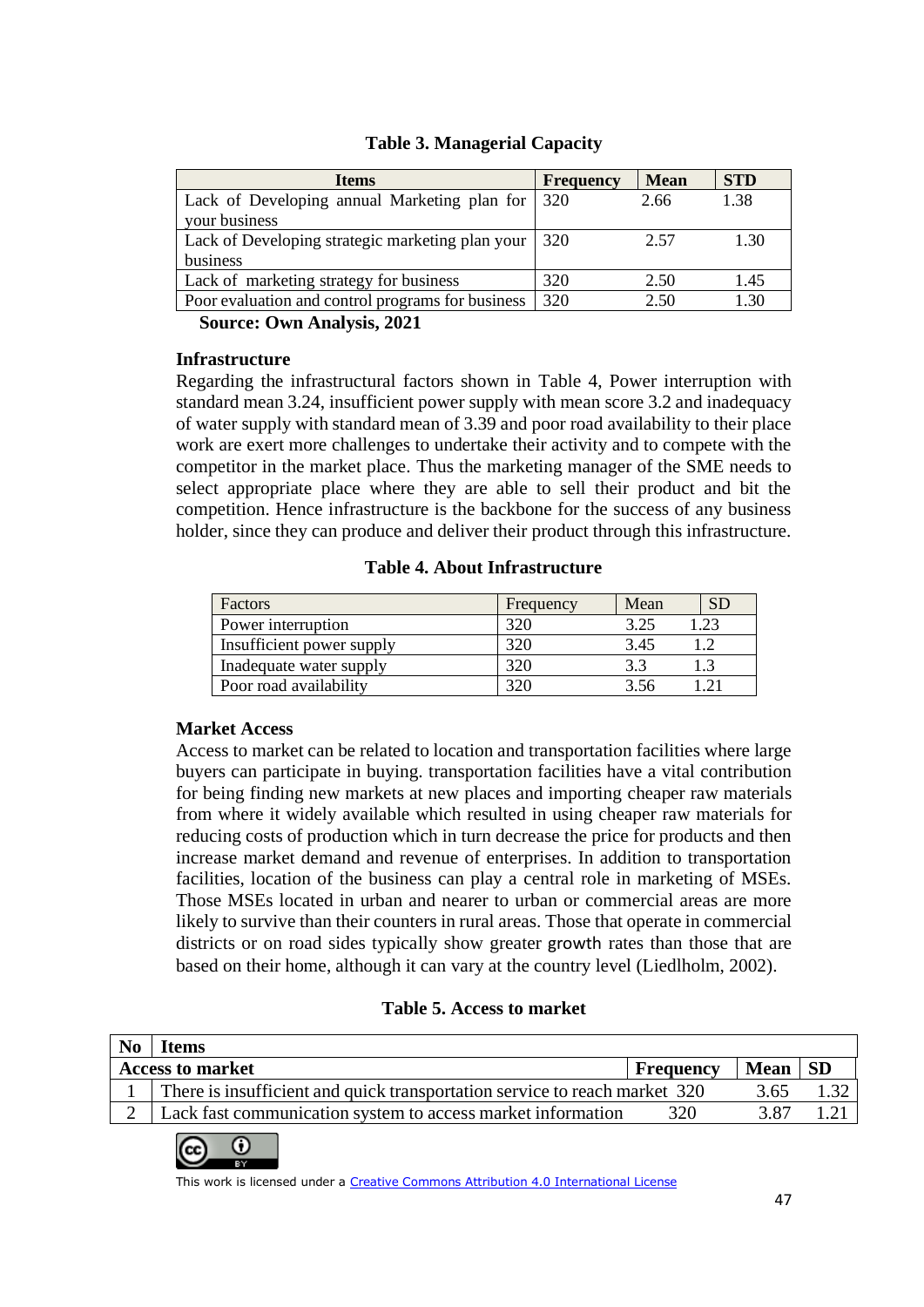| <b>Items</b>                                      | <b>Frequency</b> | <b>Mean</b> | <b>STD</b> |
|---------------------------------------------------|------------------|-------------|------------|
| Lack of Developing annual Marketing plan for      | 320              | 2.66        | 1.38       |
| your business                                     |                  |             |            |
| Lack of Developing strategic marketing plan your  | 320              | 2.57        | 1.30       |
| business                                          |                  |             |            |
| Lack of marketing strategy for business           | 320              | 2.50        | 1.45       |
| Poor evaluation and control programs for business | 320              | 2.50        | L30        |

### **Table 3. Managerial Capacity**

**Source: Own Analysis, 2021**

#### **Infrastructure**

Regarding the infrastructural factors shown in Table 4, Power interruption with standard mean 3.24, insufficient power supply with mean score 3.2 and inadequacy of water supply with standard mean of 3.39 and poor road availability to their place work are exert more challenges to undertake their activity and to compete with the competitor in the market place. Thus the marketing manager of the SME needs to select appropriate place where they are able to sell their product and bit the competition. Hence infrastructure is the backbone for the success of any business holder, since they can produce and deliver their product through this infrastructure.

#### **Table 4. About Infrastructure**

| Factors                   | Frequency | Mean | <b>SE</b> |
|---------------------------|-----------|------|-----------|
| Power interruption        | 320       | 3.25 | .23       |
| Insufficient power supply |           | 3.45 |           |
| Inadequate water supply   | 320       | 22   |           |
| Poor road availability    |           | 3 56 |           |

#### **Market Access**

Access to market can be related to location and transportation facilities where large buyers can participate in buying. transportation facilities have a vital contribution for being finding new markets at new places and importing cheaper raw materials from where it widely available which resulted in using cheaper raw materials for reducing costs of production which in turn decrease the price for products and then increase market demand and revenue of enterprises. In addition to transportation facilities, location of the business can play a central role in marketing of MSEs. Those MSEs located in urban and nearer to urban or commercial areas are more likely to survive than their counters in rural areas. Those that operate in commercial districts or on road sides typically show greater growth rates than those that are based on their home, although it can vary at the country level (Liedlholm, 2002).

#### **Table 5. Access to market**

| N <sub>0</sub> | <b>Items</b>                                                               |           |           |  |
|----------------|----------------------------------------------------------------------------|-----------|-----------|--|
|                | <b>Access to market</b>                                                    | Frequency | Mean   SD |  |
|                | There is insufficient and quick transportation service to reach market 320 |           | 3.65      |  |
|                | Lack fast communication system to access market information                | 320       | 3.87      |  |

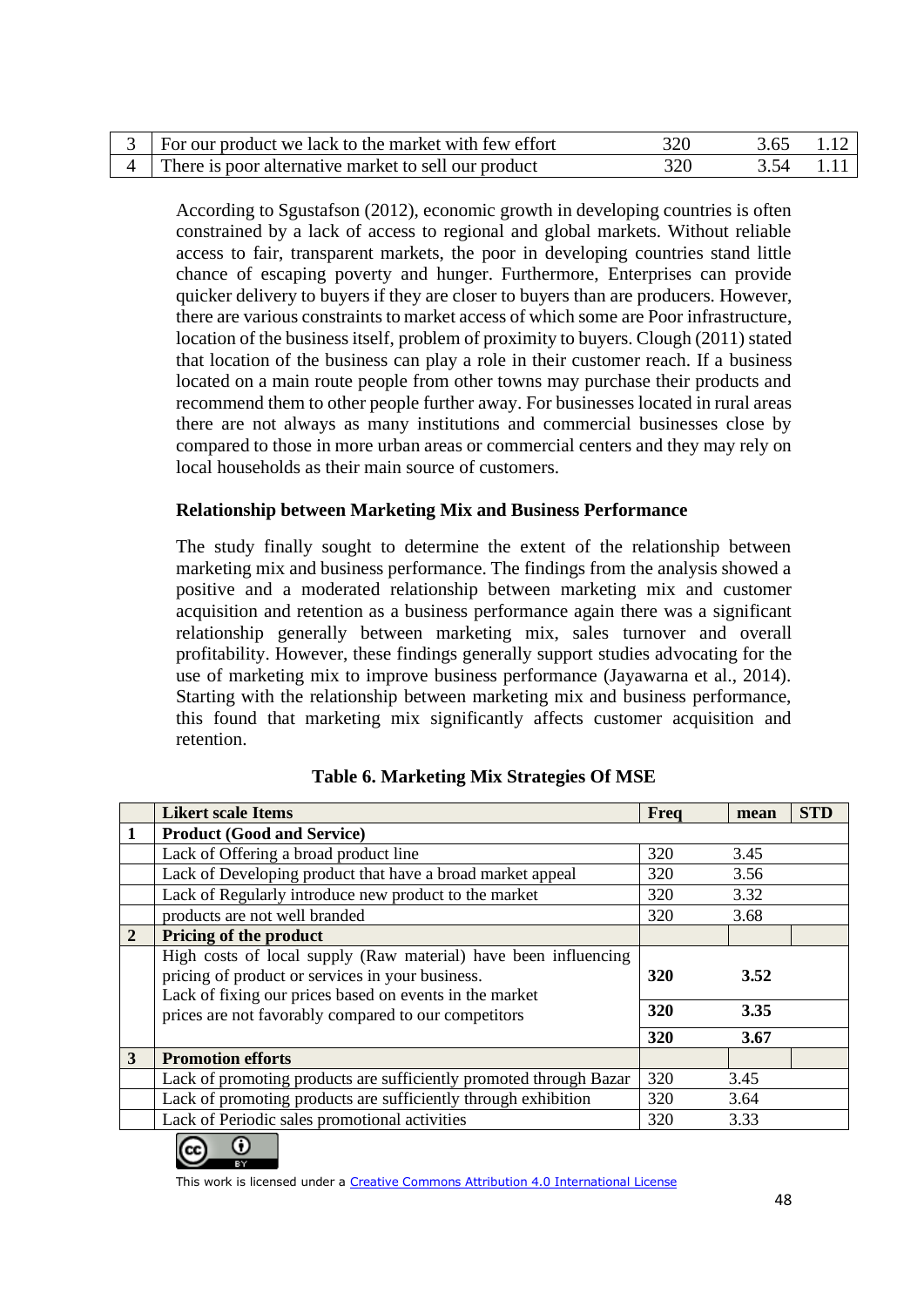| For our product we lack to the market with few effort |  |  |
|-------------------------------------------------------|--|--|
| There is poor alternative market to sell our product  |  |  |

According to Sgustafson (2012), economic growth in developing countries is often constrained by a lack of access to regional and global markets. Without reliable access to fair, transparent markets, the poor in developing countries stand little chance of escaping poverty and hunger. Furthermore, Enterprises can provide quicker delivery to buyers if they are closer to buyers than are producers. However, there are various constraints to market access of which some are Poor infrastructure, location of the business itself, problem of proximity to buyers. Clough (2011) stated that location of the business can play a role in their customer reach. If a business located on a main route people from other towns may purchase their products and recommend them to other people further away. For businesses located in rural areas there are not always as many institutions and commercial businesses close by compared to those in more urban areas or commercial centers and they may rely on local households as their main source of customers.

### **Relationship between Marketing Mix and Business Performance**

The study finally sought to determine the extent of the relationship between marketing mix and business performance. The findings from the analysis showed a positive and a moderated relationship between marketing mix and customer acquisition and retention as a business performance again there was a significant relationship generally between marketing mix, sales turnover and overall profitability. However, these findings generally support studies advocating for the use of marketing mix to improve business performance (Jayawarna et al., 2014). Starting with the relationship between marketing mix and business performance, this found that marketing mix significantly affects customer acquisition and retention.

|                | <b>Likert scale Items</b>                                                                                                                                                                                                                            | Freq | mean | <b>STD</b> |
|----------------|------------------------------------------------------------------------------------------------------------------------------------------------------------------------------------------------------------------------------------------------------|------|------|------------|
|                | <b>Product (Good and Service)</b>                                                                                                                                                                                                                    |      |      |            |
|                | Lack of Offering a broad product line                                                                                                                                                                                                                | 320  | 3.45 |            |
|                | Lack of Developing product that have a broad market appeal                                                                                                                                                                                           | 320  | 3.56 |            |
|                | Lack of Regularly introduce new product to the market                                                                                                                                                                                                | 320  | 3.32 |            |
|                | products are not well branded                                                                                                                                                                                                                        | 320  | 3.68 |            |
| $\overline{2}$ | <b>Pricing of the product</b>                                                                                                                                                                                                                        |      |      |            |
|                | High costs of local supply (Raw material) have been influencing<br>pricing of product or services in your business.<br>320<br>Lack of fixing our prices based on events in the market<br>320<br>prices are not favorably compared to our competitors |      | 3.52 |            |
|                |                                                                                                                                                                                                                                                      |      | 3.35 |            |
|                |                                                                                                                                                                                                                                                      | 320  | 3.67 |            |
| 3              | <b>Promotion efforts</b>                                                                                                                                                                                                                             |      |      |            |
|                | Lack of promoting products are sufficiently promoted through Bazar                                                                                                                                                                                   | 320  | 3.45 |            |
|                | Lack of promoting products are sufficiently through exhibition                                                                                                                                                                                       | 320  | 3.64 |            |
|                | Lack of Periodic sales promotional activities                                                                                                                                                                                                        | 320  | 3.33 |            |

### **Table 6. Marketing Mix Strategies Of MSE**

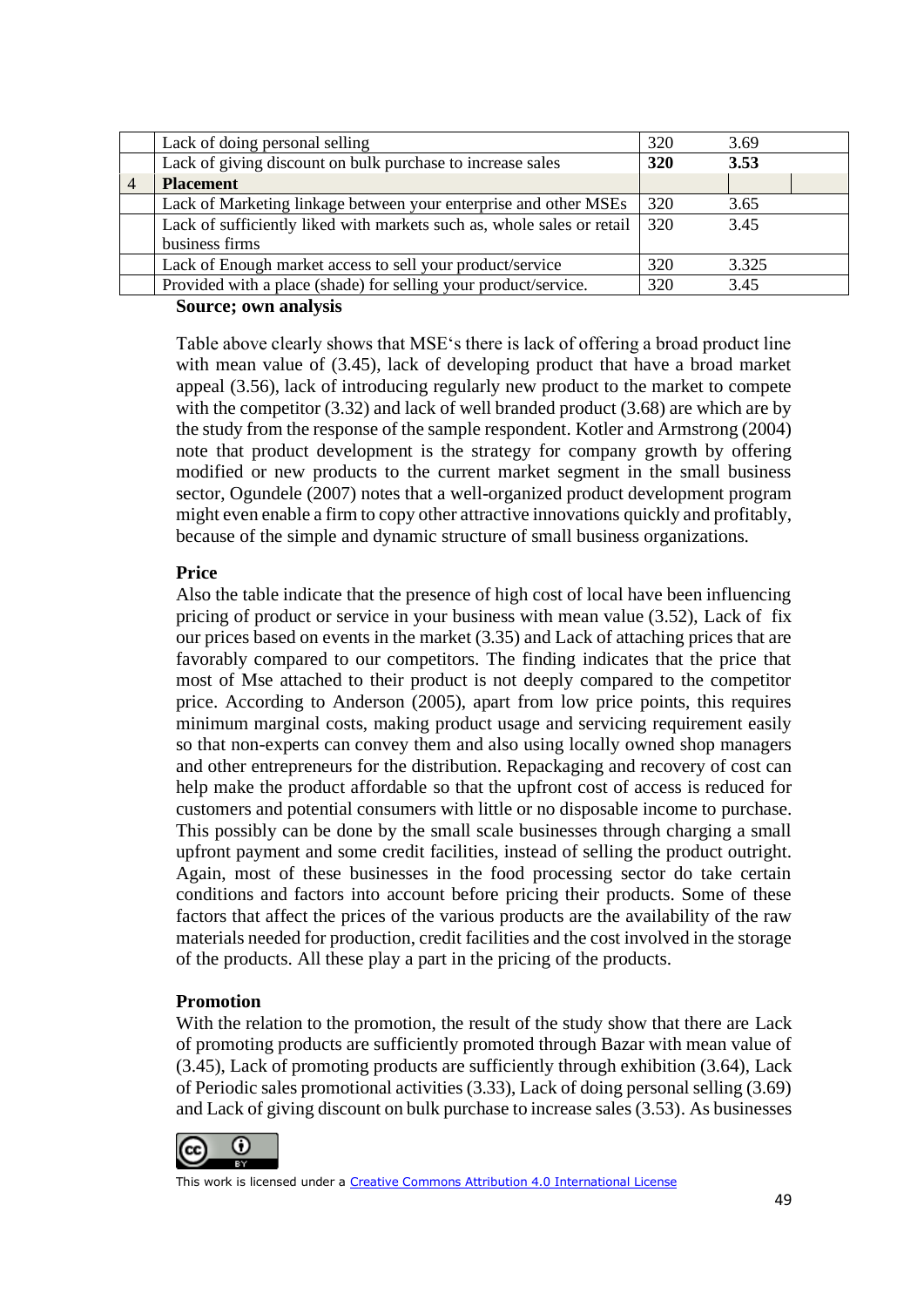| Lack of doing personal selling                                         | 320 | 3.69  |
|------------------------------------------------------------------------|-----|-------|
| Lack of giving discount on bulk purchase to increase sales             | 320 | 3.53  |
| <b>Placement</b>                                                       |     |       |
| Lack of Marketing linkage between your enterprise and other MSEs       | 320 | 3.65  |
| Lack of sufficiently liked with markets such as, whole sales or retail | 320 | 3.45  |
| business firms                                                         |     |       |
| Lack of Enough market access to sell your product/service              | 320 | 3.325 |
| Provided with a place (shade) for selling your product/service.        | 320 | 3.45  |

#### **Source; own analysis**

Table above clearly shows that MSE's there is lack of offering a broad product line with mean value of (3.45), lack of developing product that have a broad market appeal (3.56), lack of introducing regularly new product to the market to compete with the competitor (3.32) and lack of well branded product (3.68) are which are by the study from the response of the sample respondent. Kotler and Armstrong (2004) note that product development is the strategy for company growth by offering modified or new products to the current market segment in the small business sector, Ogundele (2007) notes that a well-organized product development program might even enable a firm to copy other attractive innovations quickly and profitably, because of the simple and dynamic structure of small business organizations.

### **Price**

Also the table indicate that the presence of high cost of local have been influencing pricing of product or service in your business with mean value (3.52), Lack of fix our prices based on events in the market (3.35) and Lack of attaching prices that are favorably compared to our competitors. The finding indicates that the price that most of Mse attached to their product is not deeply compared to the competitor price. According to Anderson (2005), apart from low price points, this requires minimum marginal costs, making product usage and servicing requirement easily so that non-experts can convey them and also using locally owned shop managers and other entrepreneurs for the distribution. Repackaging and recovery of cost can help make the product affordable so that the upfront cost of access is reduced for customers and potential consumers with little or no disposable income to purchase. This possibly can be done by the small scale businesses through charging a small upfront payment and some credit facilities, instead of selling the product outright. Again, most of these businesses in the food processing sector do take certain conditions and factors into account before pricing their products. Some of these factors that affect the prices of the various products are the availability of the raw materials needed for production, credit facilities and the cost involved in the storage of the products. All these play a part in the pricing of the products.

#### **Promotion**

With the relation to the promotion, the result of the study show that there are Lack of promoting products are sufficiently promoted through Bazar with mean value of (3.45), Lack of promoting products are sufficiently through exhibition (3.64), Lack of Periodic sales promotional activities (3.33), Lack of doing personal selling (3.69) and Lack of giving discount on bulk purchase to increase sales (3.53). As businesses

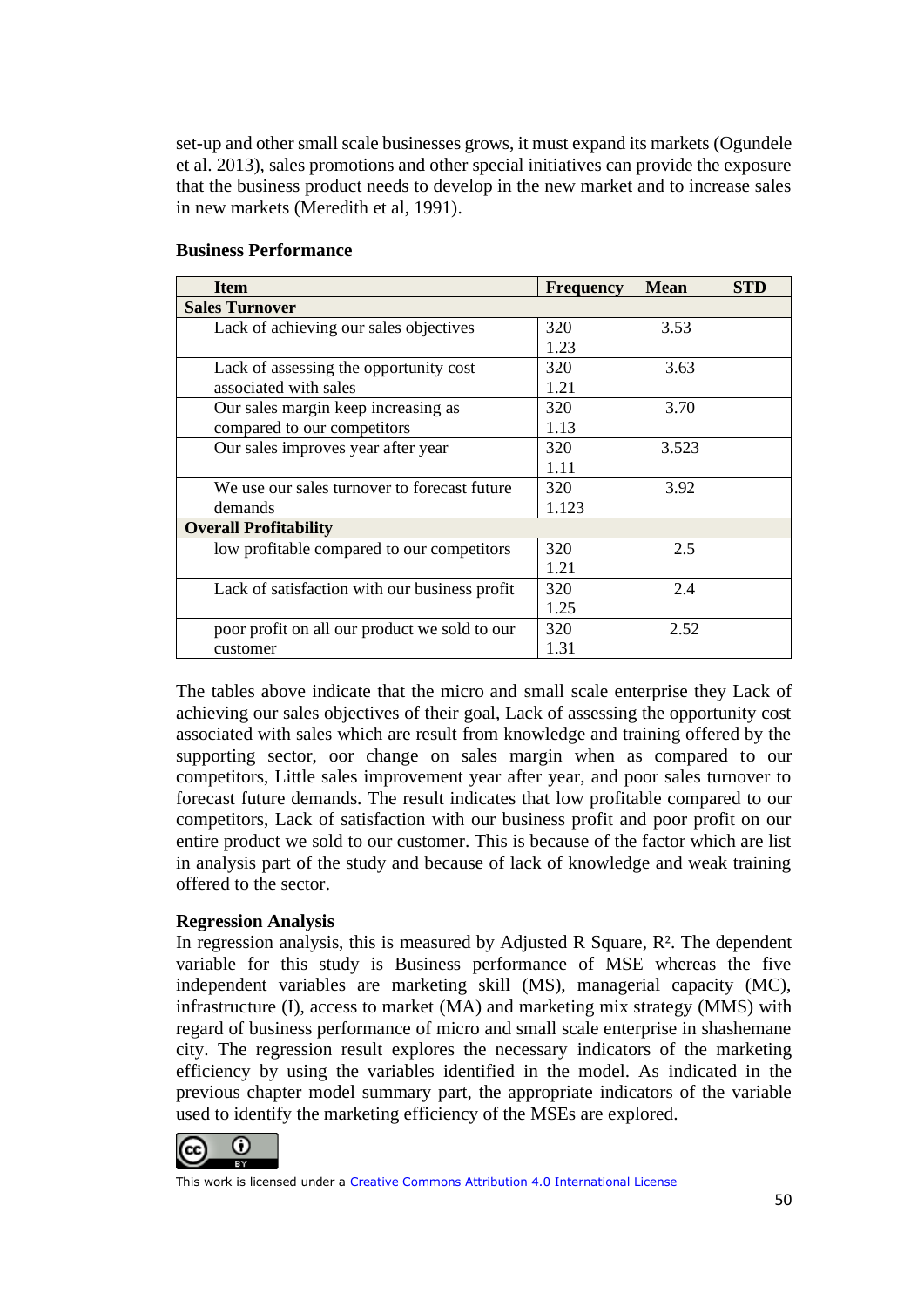set-up and other small scale businesses grows, it must expand its markets (Ogundele et al. 2013), sales promotions and other special initiatives can provide the exposure that the business product needs to develop in the new market and to increase sales in new markets (Meredith et al, 1991).

| <b>Item</b>                                   | <b>Frequency</b> | <b>Mean</b> | <b>STD</b> |
|-----------------------------------------------|------------------|-------------|------------|
| <b>Sales Turnover</b>                         |                  |             |            |
| Lack of achieving our sales objectives        | 320              | 3.53        |            |
|                                               | 1.23             |             |            |
| Lack of assessing the opportunity cost        | 320              | 3.63        |            |
| associated with sales                         | 1.21             |             |            |
| Our sales margin keep increasing as           | 320              | 3.70        |            |
| compared to our competitors                   | 1.13             |             |            |
| Our sales improves year after year            | 320              | 3.523       |            |
|                                               | 1.11             |             |            |
| We use our sales turnover to forecast future  | 320              | 3.92        |            |
| demands                                       | 1.123            |             |            |
| <b>Overall Profitability</b>                  |                  |             |            |
| low profitable compared to our competitors    | 320              | 2.5         |            |
|                                               | 1.21             |             |            |
| Lack of satisfaction with our business profit | 320              | 2.4         |            |
|                                               | 1.25             |             |            |
| poor profit on all our product we sold to our | 320              | 2.52        |            |
| customer                                      | 1.31             |             |            |

#### **Business Performance**

The tables above indicate that the micro and small scale enterprise they Lack of achieving our sales objectives of their goal, Lack of assessing the opportunity cost associated with sales which are result from knowledge and training offered by the supporting sector, oor change on sales margin when as compared to our competitors, Little sales improvement year after year, and poor sales turnover to forecast future demands. The result indicates that low profitable compared to our competitors, Lack of satisfaction with our business profit and poor profit on our entire product we sold to our customer. This is because of the factor which are list in analysis part of the study and because of lack of knowledge and weak training offered to the sector.

#### **Regression Analysis**

In regression analysis, this is measured by Adjusted R Square,  $R<sup>2</sup>$ . The dependent variable for this study is Business performance of MSE whereas the five independent variables are marketing skill (MS), managerial capacity (MC), infrastructure (I), access to market (MA) and marketing mix strategy (MMS) with regard of business performance of micro and small scale enterprise in shashemane city. The regression result explores the necessary indicators of the marketing efficiency by using the variables identified in the model. As indicated in the previous chapter model summary part, the appropriate indicators of the variable used to identify the marketing efficiency of the MSEs are explored.

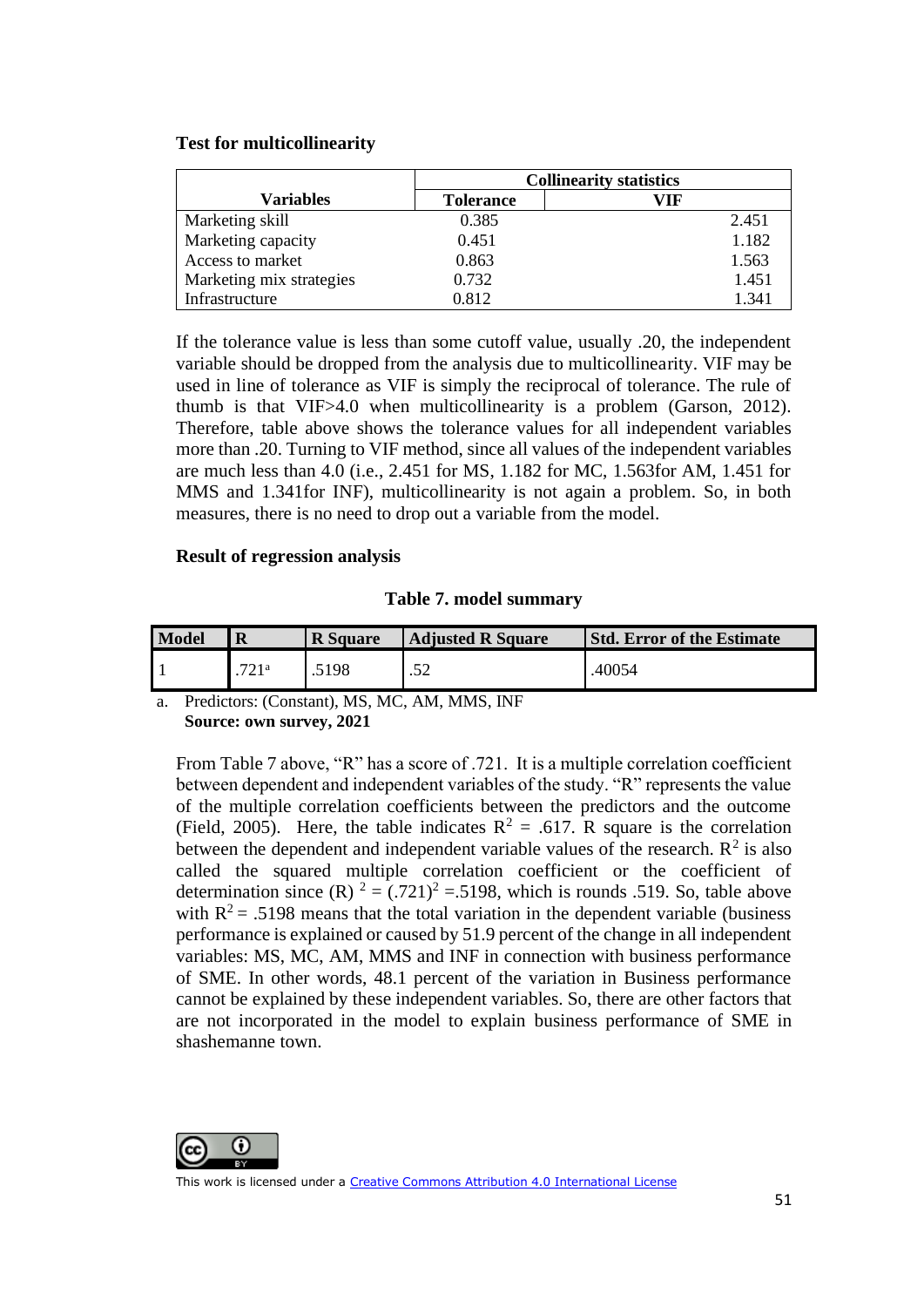#### **Test for multicollinearity**

|                          | <b>Collinearity statistics</b> |       |  |
|--------------------------|--------------------------------|-------|--|
| <b>Variables</b>         | <b>Tolerance</b>               | VIF   |  |
| Marketing skill          | 0.385                          | 2.451 |  |
| Marketing capacity       | 0.451                          | 1.182 |  |
| Access to market         | 0.863                          | 1.563 |  |
| Marketing mix strategies | 0.732                          | 1.451 |  |
| Infrastructure           | 0.812                          | 1.341 |  |

If the tolerance value is less than some cutoff value, usually .20, the independent variable should be dropped from the analysis due to multicollinearity. VIF may be used in line of tolerance as VIF is simply the reciprocal of tolerance. The rule of thumb is that VIF>4.0 when multicollinearity is a problem (Garson, 2012). Therefore, table above shows the tolerance values for all independent variables more than .20. Turning to VIF method, since all values of the independent variables are much less than 4.0 (i.e., 2.451 for MS, 1.182 for MC, 1.563for AM, 1.451 for MMS and 1.341for INF), multicollinearity is not again a problem. So, in both measures, there is no need to drop out a variable from the model.

#### **Result of regression analysis**

#### **Table 7. model summary**

| <b>Model</b> | R    | <b>R</b> Square | <b>Adjusted R Square</b> | <b>Std. Error of the Estimate</b> |
|--------------|------|-----------------|--------------------------|-----------------------------------|
|              | 721a | .5198           | ے ب                      | .40054                            |

a. Predictors: (Constant), MS, MC, AM, MMS, INF **Source: own survey, 2021**

From Table 7 above, "R" has a score of .721. It is a multiple correlation coefficient between dependent and independent variables of the study. "R" represents the value of the multiple correlation coefficients between the predictors and the outcome (Field, 2005). Here, the table indicates  $R^2 = .617$ . R square is the correlation between the dependent and independent variable values of the research.  $\mathbb{R}^2$  is also called the squared multiple correlation coefficient or the coefficient of determination since  $(R)$   $2 = (.721)^2 = .5198$ , which is rounds .519. So, table above with  $R^2$  = .5198 means that the total variation in the dependent variable (business performance is explained or caused by 51.9 percent of the change in all independent variables: MS, MC, AM, MMS and INF in connection with business performance of SME. In other words, 48.1 percent of the variation in Business performance cannot be explained by these independent variables. So, there are other factors that are not incorporated in the model to explain business performance of SME in shashemanne town.

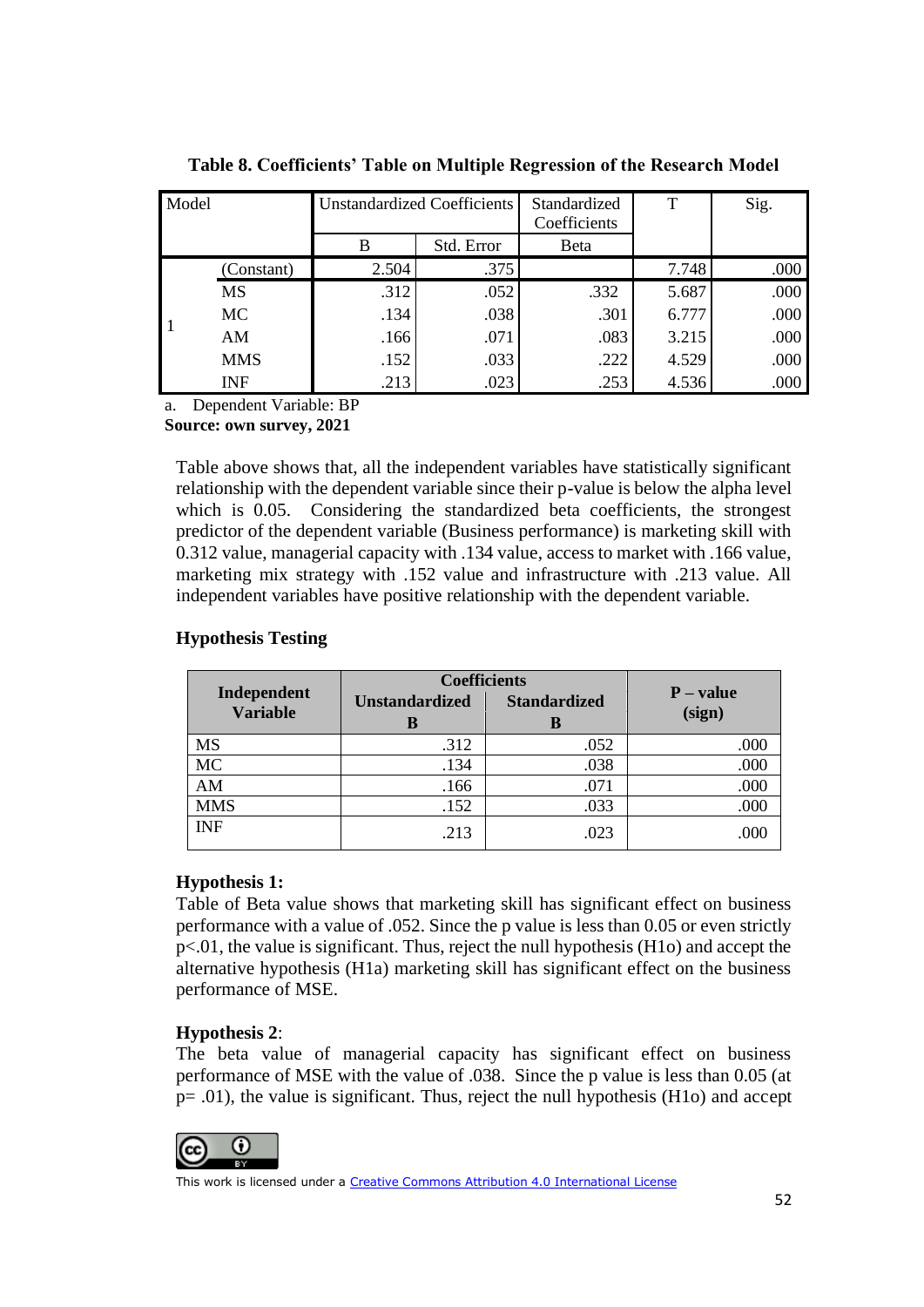| Model |            |       | <b>Unstandardized Coefficients</b> | Standardized<br>Coefficients | т     | Sig. |
|-------|------------|-------|------------------------------------|------------------------------|-------|------|
|       |            | B     | Std. Error                         | Beta                         |       |      |
|       | (Constant) | 2.504 | .375                               |                              | 7.748 | .000 |
|       | <b>MS</b>  | .312  | .052                               | .332                         | 5.687 | .000 |
| l 1   | <b>MC</b>  | .134  | .038                               | .301                         | 6.777 | .000 |
|       | AM         | .166  | .071                               | .083                         | 3.215 | .000 |
|       | <b>MMS</b> | .152  | .033                               | .222                         | 4.529 | .000 |
|       | <b>INF</b> | .213  | .023                               | .253                         | 4.536 | .000 |

**Table 8. Coefficients' Table on Multiple Regression of the Research Model**

a. Dependent Variable: BP

**Source: own survey, 2021**

Table above shows that, all the independent variables have statistically significant relationship with the dependent variable since their p-value is below the alpha level which is 0.05. Considering the standardized beta coefficients, the strongest predictor of the dependent variable (Business performance) is marketing skill with 0.312 value, managerial capacity with .134 value, access to market with .166 value, marketing mix strategy with .152 value and infrastructure with .213 value. All independent variables have positive relationship with the dependent variable.

|                                | <b>Coefficients</b>   |                     |             |
|--------------------------------|-----------------------|---------------------|-------------|
| Independent<br><b>Variable</b> | <b>Unstandardized</b> | <b>Standardized</b> | $P - value$ |
|                                | В                     | В                   | (sign)      |
| <b>MS</b>                      | .312                  | .052                | .000        |
| MC                             | .134                  | .038                | .000        |
| AM                             | .166                  | .071                | .000        |
| <b>MMS</b>                     | .152                  | .033                | .000        |
| <b>INF</b>                     | .213                  | .023                | .000        |

### **Hypothesis Testing**

#### **Hypothesis 1:**

Table of Beta value shows that marketing skill has significant effect on business performance with a value of .052. Since the p value is less than 0.05 or even strictly p<.01, the value is significant. Thus, reject the null hypothesis (H1o) and accept the alternative hypothesis (H1a) marketing skill has significant effect on the business performance of MSE.

## **Hypothesis 2**:

The beta value of managerial capacity has significant effect on business performance of MSE with the value of .038. Since the p value is less than 0.05 (at p= .01), the value is significant. Thus, reject the null hypothesis (H1o) and accept

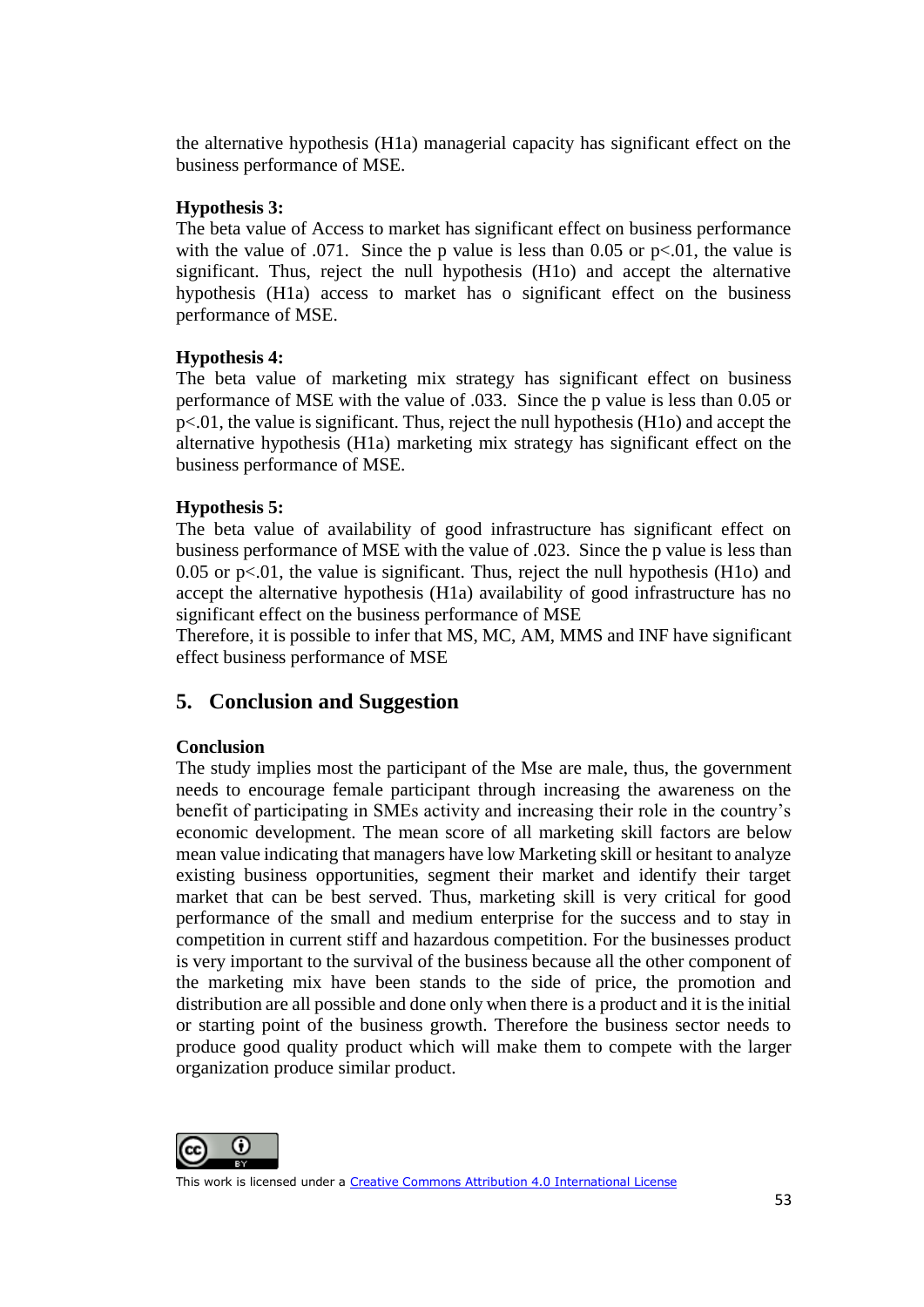the alternative hypothesis (H1a) managerial capacity has significant effect on the business performance of MSE.

## **Hypothesis 3:**

The beta value of Access to market has significant effect on business performance with the value of  $.071$ . Since the p value is less than 0.05 or p<.01, the value is significant. Thus, reject the null hypothesis (H1o) and accept the alternative hypothesis (H1a) access to market has o significant effect on the business performance of MSE.

## **Hypothesis 4:**

The beta value of marketing mix strategy has significant effect on business performance of MSE with the value of .033. Since the p value is less than 0.05 or p<.01, the value is significant. Thus, reject the null hypothesis (H1o) and accept the alternative hypothesis (H1a) marketing mix strategy has significant effect on the business performance of MSE.

## **Hypothesis 5:**

The beta value of availability of good infrastructure has significant effect on business performance of MSE with the value of .023. Since the p value is less than 0.05 or  $p<0.01$ , the value is significant. Thus, reject the null hypothesis (H1o) and accept the alternative hypothesis (H1a) availability of good infrastructure has no significant effect on the business performance of MSE

Therefore, it is possible to infer that MS, MC, AM, MMS and INF have significant effect business performance of MSE

## **5. Conclusion and Suggestion**

#### **Conclusion**

The study implies most the participant of the Mse are male, thus, the government needs to encourage female participant through increasing the awareness on the benefit of participating in SMEs activity and increasing their role in the country's economic development. The mean score of all marketing skill factors are below mean value indicating that managers have low Marketing skill or hesitant to analyze existing business opportunities, segment their market and identify their target market that can be best served. Thus, marketing skill is very critical for good performance of the small and medium enterprise for the success and to stay in competition in current stiff and hazardous competition. For the businesses product is very important to the survival of the business because all the other component of the marketing mix have been stands to the side of price, the promotion and distribution are all possible and done only when there is a product and it is the initial or starting point of the business growth. Therefore the business sector needs to produce good quality product which will make them to compete with the larger organization produce similar product.

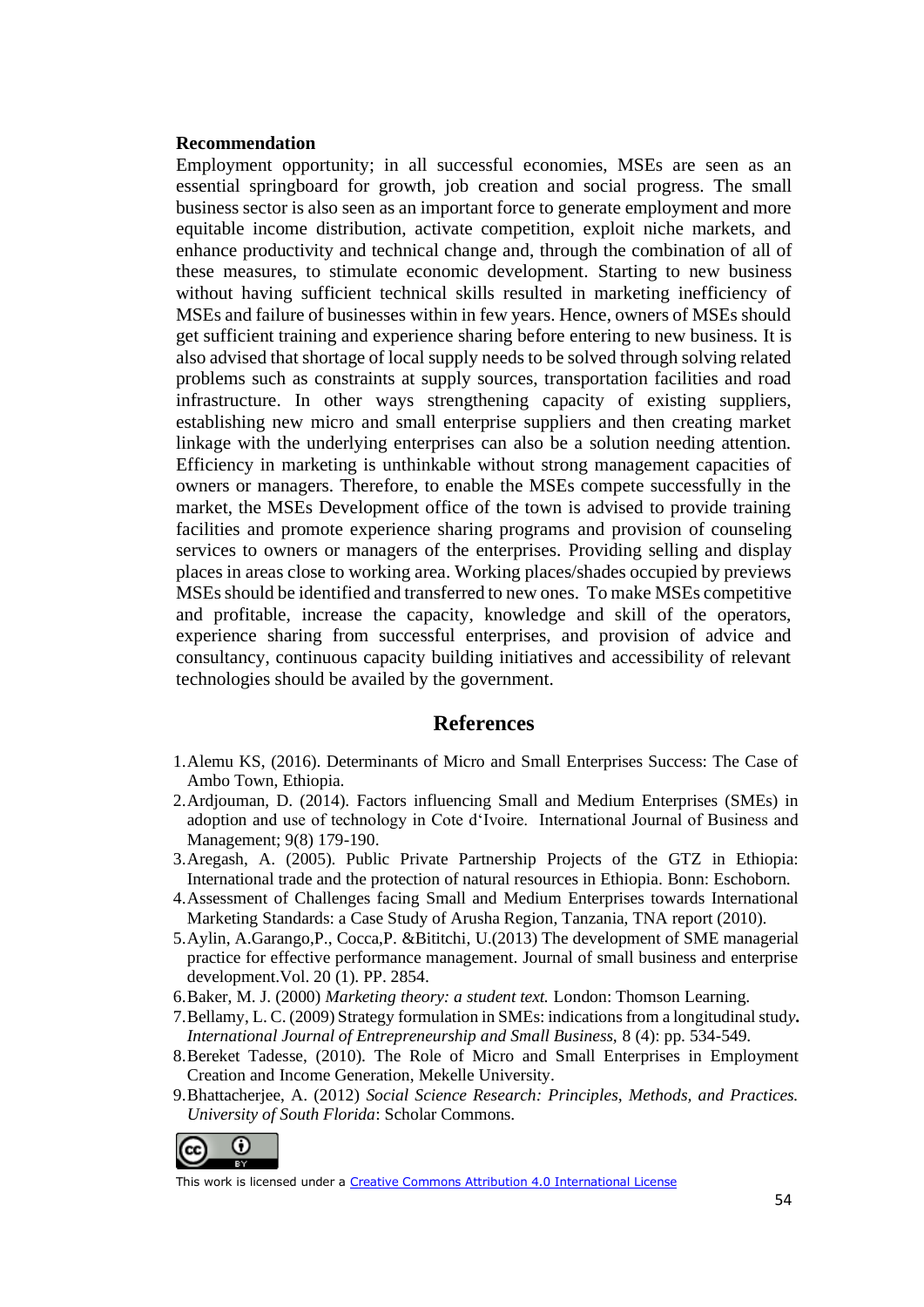#### **Recommendation**

Employment opportunity; in all successful economies, MSEs are seen as an essential springboard for growth, job creation and social progress. The small business sector is also seen as an important force to generate employment and more equitable income distribution, activate competition, exploit niche markets, and enhance productivity and technical change and, through the combination of all of these measures, to stimulate economic development. Starting to new business without having sufficient technical skills resulted in marketing inefficiency of MSEs and failure of businesses within in few years. Hence, owners of MSEs should get sufficient training and experience sharing before entering to new business. It is also advised that shortage of local supply needs to be solved through solving related problems such as constraints at supply sources, transportation facilities and road infrastructure. In other ways strengthening capacity of existing suppliers, establishing new micro and small enterprise suppliers and then creating market linkage with the underlying enterprises can also be a solution needing attention. Efficiency in marketing is unthinkable without strong management capacities of owners or managers. Therefore, to enable the MSEs compete successfully in the market, the MSEs Development office of the town is advised to provide training facilities and promote experience sharing programs and provision of counseling services to owners or managers of the enterprises. Providing selling and display places in areas close to working area. Working places/shades occupied by previews MSEs should be identified and transferred to new ones. To make MSEs competitive and profitable, increase the capacity, knowledge and skill of the operators, experience sharing from successful enterprises, and provision of advice and consultancy, continuous capacity building initiatives and accessibility of relevant technologies should be availed by the government.

### **References**

- 1.Alemu KS, (2016). Determinants of Micro and Small Enterprises Success: The Case of Ambo Town, Ethiopia.
- 2.Ardjouman, D. (2014). Factors influencing Small and Medium Enterprises (SMEs) in adoption and use of technology in Cote d'Ivoire. International Journal of Business and Management; 9(8) 179-190.
- 3.Aregash, A. (2005). Public Private Partnership Projects of the GTZ in Ethiopia: International trade and the protection of natural resources in Ethiopia*.* Bonn: Eschoborn.
- 4.Assessment of Challenges facing Small and Medium Enterprises towards International Marketing Standards: a Case Study of Arusha Region, Tanzania, TNA report (2010).
- 5.Aylin, A.Garango,P., Cocca,P. &Bititchi, U.(2013) The development of SME managerial practice for effective performance management. Journal of small business and enterprise development.Vol. 20 (1). PP. 2854.
- 6.Baker, M. J. (2000) *Marketing theory: a student text.* London: Thomson Learning.
- 7.Bellamy, L. C. (2009) Strategy formulation in SMEs: indications from a longitudinal stud*y***.** *International Journal of Entrepreneurship and Small Business,* 8 (4): pp. 534-549.
- 8.Bereket Tadesse, (2010). The Role of Micro and Small Enterprises in Employment Creation and Income Generation, Mekelle University.
- 9.Bhattacherjee, A. (2012) *Social Science Research: Principles, Methods, and Practices. University of South Florida*: Scholar Commons.

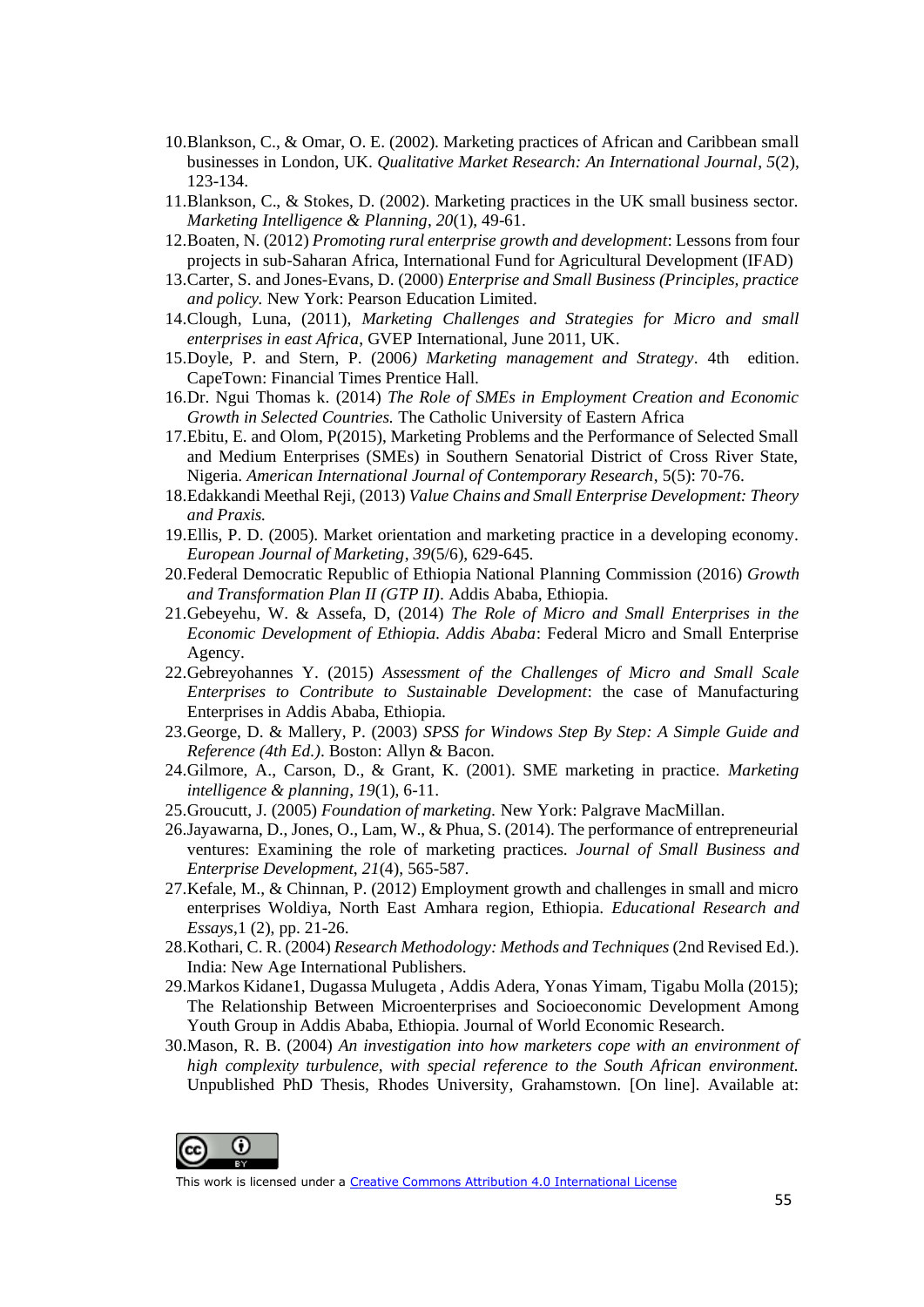- 10.Blankson, C., & Omar, O. E. (2002). Marketing practices of African and Caribbean small businesses in London, UK. *Qualitative Market Research: An International Journal*, *5*(2), 123-134.
- 11.Blankson, C., & Stokes, D. (2002). Marketing practices in the UK small business sector. *Marketing Intelligence & Planning*, *20*(1), 49-61.
- 12.Boaten, N. (2012) *Promoting rural enterprise growth and development*: Lessons from four projects in sub-Saharan Africa, International Fund for Agricultural Development (IFAD)
- 13.Carter, S. and Jones-Evans, D. (2000) *Enterprise and Small Business (Principles, practice and policy.* New York: Pearson Education Limited.
- 14.Clough, Luna, (2011), *Marketing Challenges and Strategies for Micro and small enterprises in east Africa*, GVEP International, June 2011, UK.
- 15.Doyle, P. and Stern, P. (2006*) Marketing management and Strategy*. 4th edition. CapeTown: Financial Times Prentice Hall.
- 16.Dr. Ngui Thomas k. (2014) *The Role of SMEs in Employment Creation and Economic Growth in Selected Countries.* The Catholic University of Eastern Africa
- 17.Ebitu, E. and Olom, P(2015), Marketing Problems and the Performance of Selected Small and Medium Enterprises (SMEs) in Southern Senatorial District of Cross River State, Nigeria. *American International Journal of Contemporary Research*, 5(5): 70-76.
- 18.Edakkandi Meethal Reji, (2013) *Value Chains and Small Enterprise Development: Theory and Praxis.*
- 19.Ellis, P. D. (2005). Market orientation and marketing practice in a developing economy. *European Journal of Marketing*, *39*(5/6), 629-645.
- 20.Federal Democratic Republic of Ethiopia National Planning Commission (2016) *Growth and Transformation Plan II (GTP II)*. Addis Ababa, Ethiopia.
- 21.Gebeyehu, W. & Assefa, D, (2014) *The Role of Micro and Small Enterprises in the Economic Development of Ethiopia. Addis Ababa*: Federal Micro and Small Enterprise Agency.
- 22.Gebreyohannes Y. (2015) *Assessment of the Challenges of Micro and Small Scale Enterprises to Contribute to Sustainable Development*: the case of Manufacturing Enterprises in Addis Ababa, Ethiopia.
- 23.George, D. & Mallery, P. (2003) *SPSS for Windows Step By Step: A Simple Guide and Reference (4th Ed.)*. Boston: Allyn & Bacon.
- 24.Gilmore, A., Carson, D., & Grant, K. (2001). SME marketing in practice. *Marketing intelligence & planning*, *19*(1), 6-11.
- 25.Groucutt, J. (2005) *Foundation of marketing.* New York: Palgrave MacMillan.
- 26.Jayawarna, D., Jones, O., Lam, W., & Phua, S. (2014). The performance of entrepreneurial ventures: Examining the role of marketing practices. *Journal of Small Business and Enterprise Development*, *21*(4), 565-587.
- 27.Kefale, M., & Chinnan, P. (2012) Employment growth and challenges in small and micro enterprises Woldiya, North East Amhara region, Ethiopia. *Educational Research and Essays*,1 (2), pp. 21-26.
- 28.Kothari, C. R. (2004) *Research Methodology: Methods and Techniques* (2nd Revised Ed.). India: New Age International Publishers.
- 29.Markos Kidane1, Dugassa Mulugeta , Addis Adera, Yonas Yimam, Tigabu Molla (2015); The Relationship Between Microenterprises and Socioeconomic Development Among Youth Group in Addis Ababa, Ethiopia. Journal of World Economic Research.
- 30.Mason, R. B. (2004) *An investigation into how marketers cope with an environment of high complexity turbulence, with special reference to the South African environment.*  Unpublished PhD Thesis, Rhodes University, Grahamstown*.* [On line]. Available at: